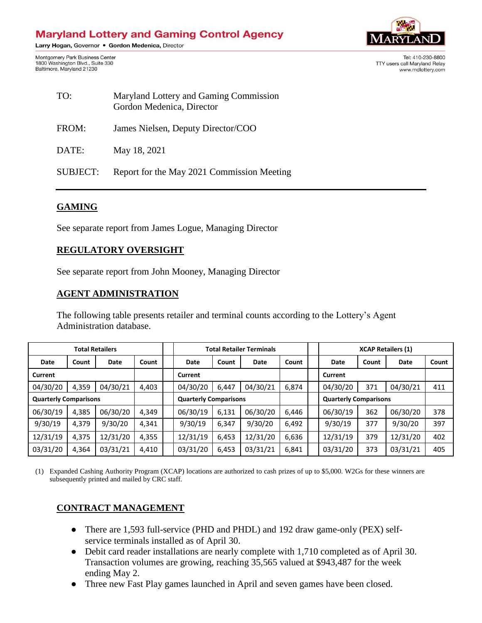# **Maryland Lottery and Gaming Control Agency**

Larry Hogan, Governor . Gordon Medenica, Director

Montgomery Park Business Center 1800 Washington Blvd., Suite 330 Baltimore, Maryland 21230



Tel: 410-230-8800 TTY users call Maryland Relay www.mdlottery.com

| TO:             | Maryland Lottery and Gaming Commission<br>Gordon Medenica, Director |  |  |  |  |
|-----------------|---------------------------------------------------------------------|--|--|--|--|
| FROM:           | James Nielsen, Deputy Director/COO                                  |  |  |  |  |
| DATE:           | May 18, 2021                                                        |  |  |  |  |
| <b>SUBJECT:</b> | Report for the May 2021 Commission Meeting                          |  |  |  |  |

### **GAMING**

See separate report from James Logue, Managing Director

#### **REGULATORY OVERSIGHT**

See separate report from John Mooney, Managing Director

#### **AGENT ADMINISTRATION**

The following table presents retailer and terminal counts according to the Lottery's Agent Administration database.

| <b>Total Retailers</b>       |       |          |                              | <b>Total Retailer Terminals</b> |       |                              | <b>XCAP Retailers (1)</b> |          |       |          |       |
|------------------------------|-------|----------|------------------------------|---------------------------------|-------|------------------------------|---------------------------|----------|-------|----------|-------|
| Date                         | Count | Date     | Count                        | Date                            | Count | Date                         | Count                     | Date     | Count | Date     | Count |
| Current                      |       |          |                              | Current                         |       |                              |                           | Current  |       |          |       |
| 04/30/20                     | 4,359 | 04/30/21 | 4,403                        | 04/30/20                        | 6,447 | 04/30/21                     | 6,874                     | 04/30/20 | 371   | 04/30/21 | 411   |
| <b>Quarterly Comparisons</b> |       |          | <b>Quarterly Comparisons</b> |                                 |       | <b>Quarterly Comparisons</b> |                           |          |       |          |       |
| 06/30/19                     | 4,385 | 06/30/20 | 4,349                        | 06/30/19                        | 6,131 | 06/30/20                     | 6,446                     | 06/30/19 | 362   | 06/30/20 | 378   |
| 9/30/19                      | 4,379 | 9/30/20  | 4,341                        | 9/30/19                         | 6,347 | 9/30/20                      | 6,492                     | 9/30/19  | 377   | 9/30/20  | 397   |
| 12/31/19                     | 4,375 | 12/31/20 | 4,355                        | 12/31/19                        | 6,453 | 12/31/20                     | 6,636                     | 12/31/19 | 379   | 12/31/20 | 402   |
| 03/31/20                     | 4,364 | 03/31/21 | 4,410                        | 03/31/20                        | 6,453 | 03/31/21                     | 6,841                     | 03/31/20 | 373   | 03/31/21 | 405   |

(1) Expanded Cashing Authority Program (XCAP) locations are authorized to cash prizes of up to \$5,000. W2Gs for these winners are subsequently printed and mailed by CRC staff.

### **CONTRACT MANAGEMENT**

- There are 1,593 full-service (PHD and PHDL) and 192 draw game-only (PEX) selfservice terminals installed as of April 30.
- Debit card reader installations are nearly complete with 1,710 completed as of April 30. Transaction volumes are growing, reaching 35,565 valued at \$943,487 for the week ending May 2.
- Three new Fast Play games launched in April and seven games have been closed.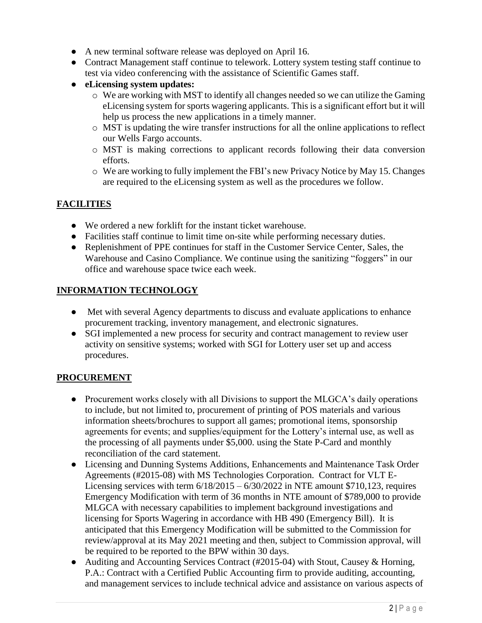- A new terminal software release was deployed on April 16.
- Contract Management staff continue to telework. Lottery system testing staff continue to test via video conferencing with the assistance of Scientific Games staff.
- **eLicensing system updates:**
	- o We are working with MST to identify all changes needed so we can utilize the Gaming eLicensing system for sports wagering applicants. This is a significant effort but it will help us process the new applications in a timely manner.
	- o MST is updating the wire transfer instructions for all the online applications to reflect our Wells Fargo accounts.
	- o MST is making corrections to applicant records following their data conversion efforts.
	- o We are working to fully implement the FBI's new Privacy Notice by May 15. Changes are required to the eLicensing system as well as the procedures we follow.

# **FACILITIES**

- We ordered a new forklift for the instant ticket warehouse.
- Facilities staff continue to limit time on-site while performing necessary duties.
- Replenishment of PPE continues for staff in the Customer Service Center, Sales, the Warehouse and Casino Compliance. We continue using the sanitizing "foggers" in our office and warehouse space twice each week.

# **INFORMATION TECHNOLOGY**

- Met with several Agency departments to discuss and evaluate applications to enhance procurement tracking, inventory management, and electronic signatures.
- SGI implemented a new process for security and contract management to review user activity on sensitive systems; worked with SGI for Lottery user set up and access procedures.

## **PROCUREMENT**

- Procurement works closely with all Divisions to support the MLGCA's daily operations to include, but not limited to, procurement of printing of POS materials and various information sheets/brochures to support all games; promotional items, sponsorship agreements for events; and supplies/equipment for the Lottery's internal use, as well as the processing of all payments under \$5,000. using the State P-Card and monthly reconciliation of the card statement.
- Licensing and Dunning Systems Additions, Enhancements and Maintenance Task Order Agreements (#2015-08) with MS Technologies Corporation. Contract for VLT E-Licensing services with term  $6/18/2015 - 6/30/2022$  in NTE amount \$710,123, requires Emergency Modification with term of 36 months in NTE amount of \$789,000 to provide MLGCA with necessary capabilities to implement background investigations and licensing for Sports Wagering in accordance with HB 490 (Emergency Bill). It is anticipated that this Emergency Modification will be submitted to the Commission for review/approval at its May 2021 meeting and then, subject to Commission approval, will be required to be reported to the BPW within 30 days.
- Auditing and Accounting Services Contract (#2015-04) with Stout, Causey & Horning, P.A.: Contract with a Certified Public Accounting firm to provide auditing, accounting, and management services to include technical advice and assistance on various aspects of